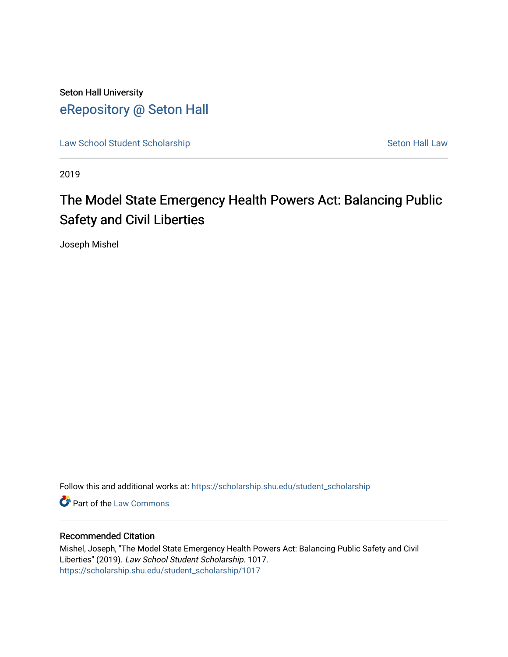Seton Hall University [eRepository @ Seton Hall](https://scholarship.shu.edu/)

[Law School Student Scholarship](https://scholarship.shu.edu/student_scholarship) Seton Hall Law

2019

# The Model State Emergency Health Powers Act: Balancing Public Safety and Civil Liberties

Joseph Mishel

Follow this and additional works at: [https://scholarship.shu.edu/student\\_scholarship](https://scholarship.shu.edu/student_scholarship?utm_source=scholarship.shu.edu%2Fstudent_scholarship%2F1017&utm_medium=PDF&utm_campaign=PDFCoverPages) 

**Part of the [Law Commons](http://network.bepress.com/hgg/discipline/578?utm_source=scholarship.shu.edu%2Fstudent_scholarship%2F1017&utm_medium=PDF&utm_campaign=PDFCoverPages)** 

#### Recommended Citation

Mishel, Joseph, "The Model State Emergency Health Powers Act: Balancing Public Safety and Civil Liberties" (2019). Law School Student Scholarship. 1017. [https://scholarship.shu.edu/student\\_scholarship/1017](https://scholarship.shu.edu/student_scholarship/1017?utm_source=scholarship.shu.edu%2Fstudent_scholarship%2F1017&utm_medium=PDF&utm_campaign=PDFCoverPages)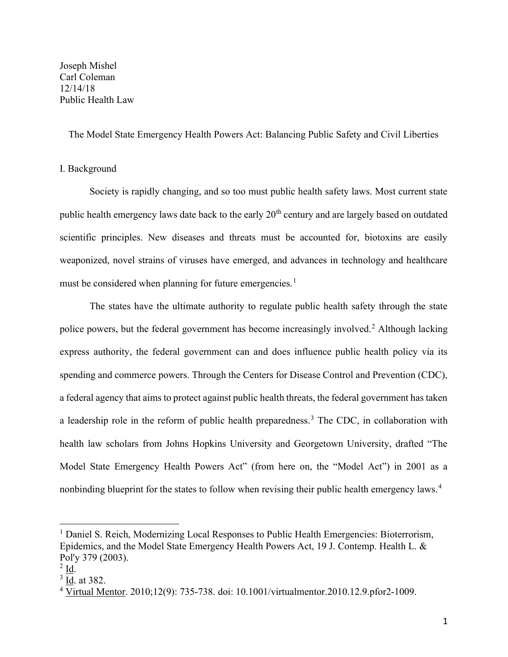Joseph Mishel Carl Coleman 12/14/18 Public Health Law

The Model State Emergency Health Powers Act: Balancing Public Safety and Civil Liberties

#### I. Background

Society is rapidly changing, and so too must public health safety laws. Most current state public health emergency laws date back to the early 20<sup>th</sup> century and are largely based on outdated scientific principles. New diseases and threats must be accounted for, biotoxins are easily weaponized, novel strains of viruses have emerged, and advances in technology and healthcare must be considered when planning for future emergencies.<sup>1</sup>

The states have the ultimate authority to regulate public health safety through the state police powers, but the federal government has become increasingly involved.<sup>2</sup> Although lacking express authority, the federal government can and does influence public health policy via its spending and commerce powers. Through the Centers for Disease Control and Prevention (CDC), a federal agency that aims to protect against public health threats, the federal government has taken a leadership role in the reform of public health preparedness.<sup>3</sup> The CDC, in collaboration with health law scholars from Johns Hopkins University and Georgetown University, drafted "The Model State Emergency Health Powers Act" (from here on, the "Model Act") in 2001 as a nonbinding blueprint for the states to follow when revising their public health emergency laws.<sup>4</sup>

<sup>&</sup>lt;sup>1</sup> Daniel S. Reich, Modernizing Local Responses to Public Health Emergencies: Bioterrorism, Epidemics, and the Model State Emergency Health Powers Act, 19 J. Contemp. Health L. & Pol'y 379 (2003).

 $2 \underline{\mathsf{Id}}$ .

 $3$   $\underline{\text{Id}}$ . at 382.

<sup>&</sup>lt;sup>4</sup> Virtual Mentor. 2010;12(9): 735-738. doi: 10.1001/virtualmentor.2010.12.9.pfor2-1009.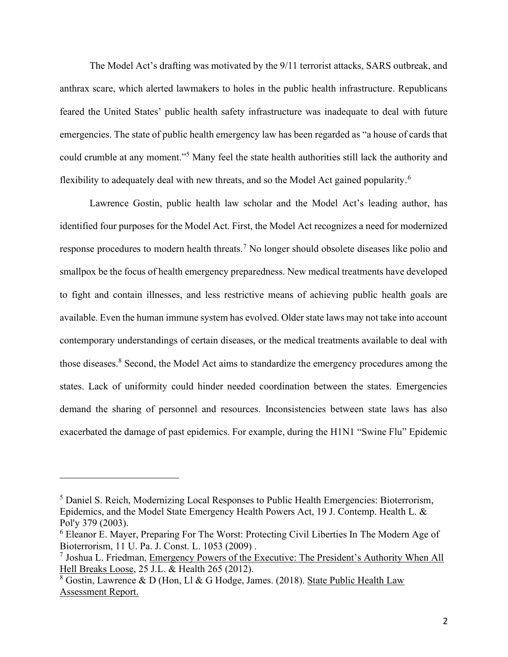The Model Act's drafting was motivated by the 9/11 terrorist attacks, SARS outbreak, and anthrax scare, which alerted lawmakers to holes in the public health infrastructure. Republicans feared the United States' public health safety infrastructure was inadequate to deal with future emergencies. The state of public health emergency law has been regarded as "a house of cards that could crumble at any moment."<sup>5</sup> Many feel the state health authorities still lack the authority and flexibility to adequately deal with new threats, and so the Model Act gained popularity.<sup>6</sup>

Lawrence Gostin, public health law scholar and the Model Act's leading author, has identified four purposes for the Model Act. First, the Model Act recognizes a need for modernized response procedures to modern health threats.<sup>7</sup> No longer should obsolete diseases like polio and smallpox be the focus of health emergency preparedness. New medical treatments have developed to fight and contain illnesses, and less restrictive means of achieving public health goals are available. Even the human immune system has evolved. Older state laws may not take into account contemporary understandings of certain diseases, or the medical treatments available to deal with those diseases.<sup>8</sup> Second, the Model Act aims to standardize the emergency procedures among the states. Lack of uniformity could hinder needed coordination between the states. Emergencies demand the sharing of personnel and resources. Inconsistencies between state laws has also exacerbated the damage of past epidemics. For example, during the H1N1 "Swine Flu" Epidemic

<sup>&</sup>lt;sup>5</sup> Daniel S. Reich, Modernizing Local Responses to Public Health Emergencies: Bioterrorism, Epidemics, and the Model State Emergency Health Powers Act, 19 J. Contemp. Health L. & Pol'y 379 (2003).

<sup>&</sup>lt;sup>6</sup> Eleanor E. Mayer, Preparing For The Worst: Protecting Civil Liberties In The Modern Age of Bioterrorism, 11 U. Pa. J. Const. L. 1053 (2009) .

<sup>&</sup>lt;sup>7</sup> Joshua L. Friedman, Emergency Powers of the Executive: The President's Authority When All Hell Breaks Loose, 25 J.L. & Health 265 (2012).

<sup>&</sup>lt;sup>8</sup> Gostin, Lawrence & D (Hon, Ll & G Hodge, James. (2018). State Public Health Law Assessment Report.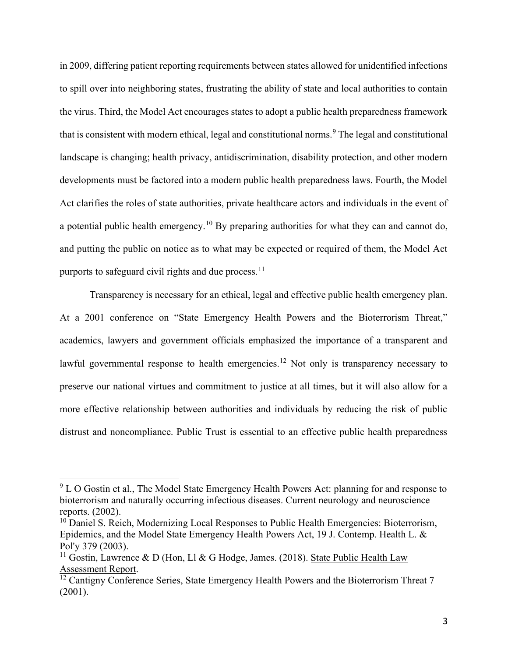in 2009, differing patient reporting requirements between states allowed for unidentified infections to spill over into neighboring states, frustrating the ability of state and local authorities to contain the virus. Third, the Model Act encourages states to adopt a public health preparedness framework that is consistent with modern ethical, legal and constitutional norms.<sup>9</sup> The legal and constitutional landscape is changing; health privacy, antidiscrimination, disability protection, and other modern developments must be factored into a modern public health preparedness laws. Fourth, the Model Act clarifies the roles of state authorities, private healthcare actors and individuals in the event of a potential public health emergency.<sup>10</sup> By preparing authorities for what they can and cannot do, and putting the public on notice as to what may be expected or required of them, the Model Act purports to safeguard civil rights and due process.<sup>11</sup>

Transparency is necessary for an ethical, legal and effective public health emergency plan. At a 2001 conference on "State Emergency Health Powers and the Bioterrorism Threat," academics, lawyers and government officials emphasized the importance of a transparent and lawful governmental response to health emergencies.<sup>12</sup> Not only is transparency necessary to preserve our national virtues and commitment to justice at all times, but it will also allow for a more effective relationship between authorities and individuals by reducing the risk of public distrust and noncompliance. Public Trust is essential to an effective public health preparedness

 $9$  L O Gostin et al., The Model State Emergency Health Powers Act: planning for and response to bioterrorism and naturally occurring infectious diseases. Current neurology and neuroscience reports. (2002).

 $10$  Daniel S. Reich, Modernizing Local Responses to Public Health Emergencies: Bioterrorism, Epidemics, and the Model State Emergency Health Powers Act, 19 J. Contemp. Health L. & Pol'y 379 (2003).

<sup>&</sup>lt;sup>11</sup> Gostin, Lawrence & D (Hon, Ll & G Hodge, James. (2018). State Public Health Law Assessment Report.

 $\frac{12}{12}$  Cantigny Conference Series, State Emergency Health Powers and the Bioterrorism Threat 7 (2001).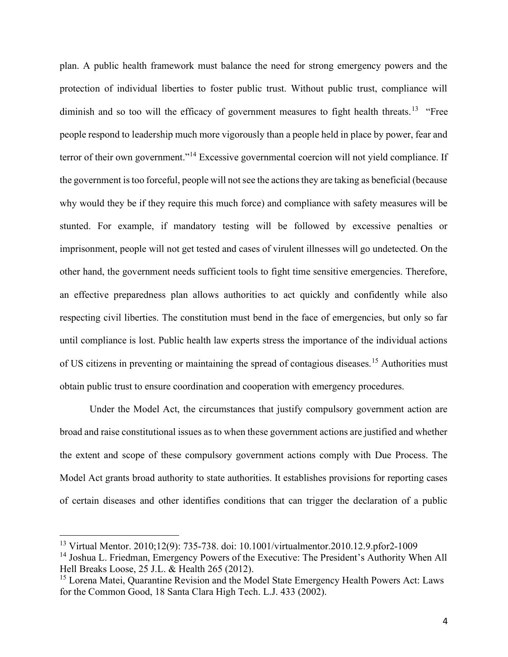plan. A public health framework must balance the need for strong emergency powers and the protection of individual liberties to foster public trust. Without public trust, compliance will diminish and so too will the efficacy of government measures to fight health threats.<sup>13</sup> "Free people respond to leadership much more vigorously than a people held in place by power, fear and terror of their own government."<sup>14</sup> Excessive governmental coercion will not yield compliance. If the government is too forceful, people will not see the actions they are taking as beneficial (because why would they be if they require this much force) and compliance with safety measures will be stunted. For example, if mandatory testing will be followed by excessive penalties or imprisonment, people will not get tested and cases of virulent illnesses will go undetected. On the other hand, the government needs sufficient tools to fight time sensitive emergencies. Therefore, an effective preparedness plan allows authorities to act quickly and confidently while also respecting civil liberties. The constitution must bend in the face of emergencies, but only so far until compliance is lost. Public health law experts stress the importance of the individual actions of US citizens in preventing or maintaining the spread of contagious diseases.<sup>15</sup> Authorities must obtain public trust to ensure coordination and cooperation with emergency procedures.

Under the Model Act, the circumstances that justify compulsory government action are broad and raise constitutional issues as to when these government actions are justified and whether the extent and scope of these compulsory government actions comply with Due Process. The Model Act grants broad authority to state authorities. It establishes provisions for reporting cases of certain diseases and other identifies conditions that can trigger the declaration of a public

<sup>13</sup> Virtual Mentor. 2010;12(9): 735-738. doi: 10.1001/virtualmentor.2010.12.9.pfor2-1009

<sup>&</sup>lt;sup>14</sup> Joshua L. Friedman, Emergency Powers of the Executive: The President's Authority When All Hell Breaks Loose, 25 J.L. & Health 265 (2012).

<sup>&</sup>lt;sup>15</sup> Lorena Matei, Quarantine Revision and the Model State Emergency Health Powers Act: Laws for the Common Good, 18 Santa Clara High Tech. L.J. 433 (2002).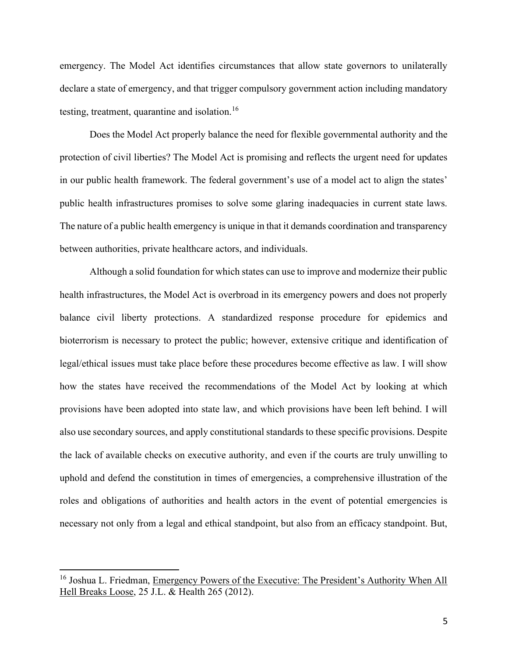emergency. The Model Act identifies circumstances that allow state governors to unilaterally declare a state of emergency, and that trigger compulsory government action including mandatory testing, treatment, quarantine and isolation.<sup>16</sup>

Does the Model Act properly balance the need for flexible governmental authority and the protection of civil liberties? The Model Act is promising and reflects the urgent need for updates in our public health framework. The federal government's use of a model act to align the states' public health infrastructures promises to solve some glaring inadequacies in current state laws. The nature of a public health emergency is unique in that it demands coordination and transparency between authorities, private healthcare actors, and individuals.

Although a solid foundation for which states can use to improve and modernize their public health infrastructures, the Model Act is overbroad in its emergency powers and does not properly balance civil liberty protections. A standardized response procedure for epidemics and bioterrorism is necessary to protect the public; however, extensive critique and identification of legal/ethical issues must take place before these procedures become effective as law. I will show how the states have received the recommendations of the Model Act by looking at which provisions have been adopted into state law, and which provisions have been left behind. I will also use secondary sources, and apply constitutional standards to these specific provisions. Despite the lack of available checks on executive authority, and even if the courts are truly unwilling to uphold and defend the constitution in times of emergencies, a comprehensive illustration of the roles and obligations of authorities and health actors in the event of potential emergencies is necessary not only from a legal and ethical standpoint, but also from an efficacy standpoint. But,

<sup>&</sup>lt;sup>16</sup> Joshua L. Friedman, Emergency Powers of the Executive: The President's Authority When All Hell Breaks Loose, 25 J.L. & Health 265 (2012).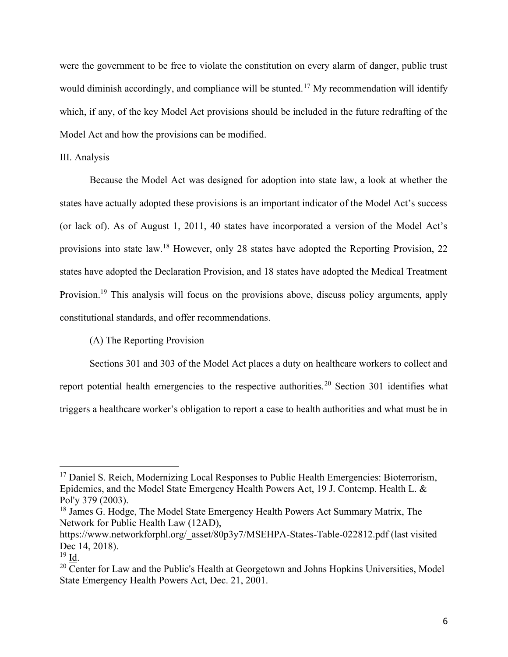were the government to be free to violate the constitution on every alarm of danger, public trust would diminish accordingly, and compliance will be stunted.<sup>17</sup> My recommendation will identify which, if any, of the key Model Act provisions should be included in the future redrafting of the Model Act and how the provisions can be modified.

#### III. Analysis

Because the Model Act was designed for adoption into state law, a look at whether the states have actually adopted these provisions is an important indicator of the Model Act's success (or lack of). As of August 1, 2011, 40 states have incorporated a version of the Model Act's provisions into state law.<sup>18</sup> However, only 28 states have adopted the Reporting Provision, 22 states have adopted the Declaration Provision, and 18 states have adopted the Medical Treatment Provision.<sup>19</sup> This analysis will focus on the provisions above, discuss policy arguments, apply constitutional standards, and offer recommendations.

#### (A) The Reporting Provision

Sections 301 and 303 of the Model Act places a duty on healthcare workers to collect and report potential health emergencies to the respective authorities.<sup>20</sup> Section 301 identifies what triggers a healthcare worker's obligation to report a case to health authorities and what must be in

<sup>&</sup>lt;sup>17</sup> Daniel S. Reich, Modernizing Local Responses to Public Health Emergencies: Bioterrorism, Epidemics, and the Model State Emergency Health Powers Act, 19 J. Contemp. Health L. & Pol'y 379 (2003).

<sup>&</sup>lt;sup>18</sup> James G. Hodge, The Model State Emergency Health Powers Act Summary Matrix, The Network for Public Health Law (12AD),

https://www.networkforphl.org/\_asset/80p3y7/MSEHPA-States-Table-022812.pdf (last visited Dec 14, 2018).

 $19$  Id.

 $20$  Center for Law and the Public's Health at Georgetown and Johns Hopkins Universities, Model State Emergency Health Powers Act, Dec. 21, 2001.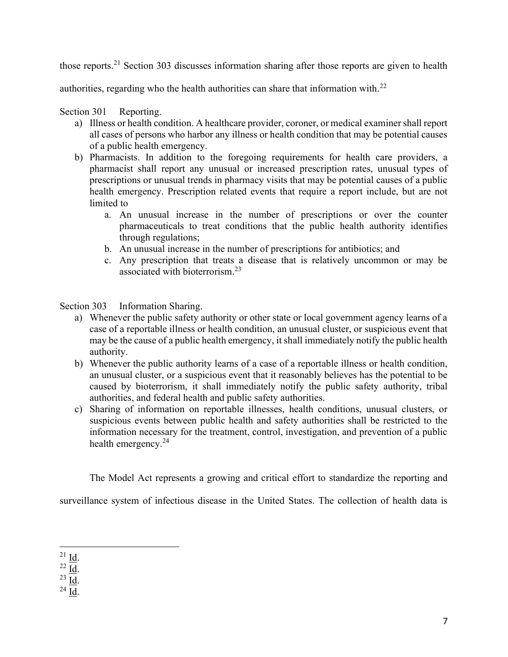those reports.<sup>21</sup> Section 303 discusses information sharing after those reports are given to health

authorities, regarding who the health authorities can share that information with.<sup>22</sup>

Section 301 Reporting.

- a) Illness or health condition. A healthcare provider, coroner, or medical examiner shall report all cases of persons who harbor any illness or health condition that may be potential causes of a public health emergency.
- b) Pharmacists. In addition to the foregoing requirements for health care providers, a pharmacist shall report any unusual or increased prescription rates, unusual types of prescriptions or unusual trends in pharmacy visits that may be potential causes of a public health emergency. Prescription related events that require a report include, but are not limited to
	- a. An unusual increase in the number of prescriptions or over the counter pharmaceuticals to treat conditions that the public health authority identifies through regulations;
	- b. An unusual increase in the number of prescriptions for antibiotics; and
	- c. Any prescription that treats a disease that is relatively uncommon or may be associated with bioterrorism.<sup>23</sup>

Section 303 Information Sharing.

- a) Whenever the public safety authority or other state or local government agency learns of a case of a reportable illness or health condition, an unusual cluster, or suspicious event that may be the cause of a public health emergency, it shall immediately notify the public health authority.
- b) Whenever the public authority learns of a case of a reportable illness or health condition, an unusual cluster, or a suspicious event that it reasonably believes has the potential to be caused by bioterrorism, it shall immediately notify the public safety authority, tribal authorities, and federal health and public safety authorities.
- c) Sharing of information on reportable illnesses, health conditions, unusual clusters, or suspicious events between public health and safety authorities shall be restricted to the information necessary for the treatment, control, investigation, and prevention of a public health emergency.<sup>24</sup>

The Model Act represents a growing and critical effort to standardize the reporting and

surveillance system of infectious disease in the United States. The collection of health data is

 $22 \underline{\text{Id}}$ .

<sup>23</sup> Id.

<sup>24</sup> Id.

 $^{21}$  Id.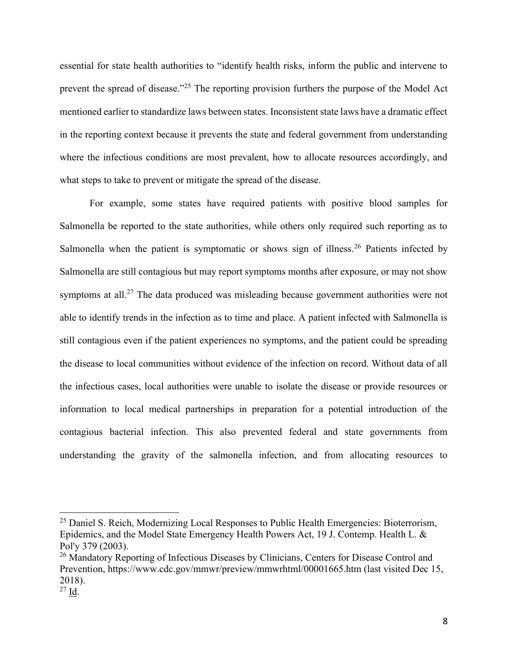essential for state health authorities to "identify health risks, inform the public and intervene to prevent the spread of disease."<sup>25</sup> The reporting provision furthers the purpose of the Model Act mentioned earlier to standardize laws between states. Inconsistent state laws have a dramatic effect in the reporting context because it prevents the state and federal government from understanding where the infectious conditions are most prevalent, how to allocate resources accordingly, and what steps to take to prevent or mitigate the spread of the disease.

For example, some states have required patients with positive blood samples for Salmonella be reported to the state authorities, while others only required such reporting as to Salmonella when the patient is symptomatic or shows sign of illness.<sup>26</sup> Patients infected by Salmonella are still contagious but may report symptoms months after exposure, or may not show symptoms at all.<sup>27</sup> The data produced was misleading because government authorities were not able to identify trends in the infection as to time and place. A patient infected with Salmonella is still contagious even if the patient experiences no symptoms, and the patient could be spreading the disease to local communities without evidence of the infection on record. Without data of all the infectious cases, local authorities were unable to isolate the disease or provide resources or information to local medical partnerships in preparation for a potential introduction of the contagious bacterial infection. This also prevented federal and state governments from understanding the gravity of the salmonella infection, and from allocating resources to

<sup>&</sup>lt;sup>25</sup> Daniel S. Reich, Modernizing Local Responses to Public Health Emergencies: Bioterrorism, Epidemics, and the Model State Emergency Health Powers Act, 19 J. Contemp. Health L. & Pol'y 379 (2003).

<sup>&</sup>lt;sup>26</sup> Mandatory Reporting of Infectious Diseases by Clinicians, Centers for Disease Control and Prevention, https://www.cdc.gov/mmwr/preview/mmwrhtml/00001665.htm (last visited Dec 15, 2018).

<sup>27</sup> Id.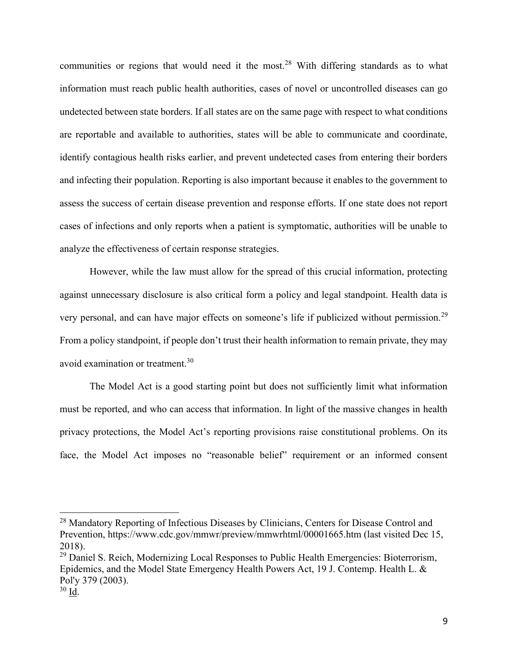communities or regions that would need it the most.<sup>28</sup> With differing standards as to what information must reach public health authorities, cases of novel or uncontrolled diseases can go undetected between state borders. If all states are on the same page with respect to what conditions are reportable and available to authorities, states will be able to communicate and coordinate, identify contagious health risks earlier, and prevent undetected cases from entering their borders and infecting their population. Reporting is also important because it enables to the government to assess the success of certain disease prevention and response efforts. If one state does not report cases of infections and only reports when a patient is symptomatic, authorities will be unable to analyze the effectiveness of certain response strategies.

However, while the law must allow for the spread of this crucial information, protecting against unnecessary disclosure is also critical form a policy and legal standpoint. Health data is very personal, and can have major effects on someone's life if publicized without permission.<sup>29</sup> From a policy standpoint, if people don't trust their health information to remain private, they may avoid examination or treatment.<sup>30</sup>

The Model Act is a good starting point but does not sufficiently limit what information must be reported, and who can access that information. In light of the massive changes in health privacy protections, the Model Act's reporting provisions raise constitutional problems. On its face, the Model Act imposes no "reasonable belief" requirement or an informed consent

<sup>&</sup>lt;sup>28</sup> Mandatory Reporting of Infectious Diseases by Clinicians, Centers for Disease Control and Prevention, https://www.cdc.gov/mmwr/preview/mmwrhtml/00001665.htm (last visited Dec 15, 2018).

<sup>&</sup>lt;sup>29</sup> Daniel S. Reich, Modernizing Local Responses to Public Health Emergencies: Bioterrorism, Epidemics, and the Model State Emergency Health Powers Act, 19 J. Contemp. Health L. & Pol'y 379 (2003).

 $30 \overline{\mathrm{Id}}$ .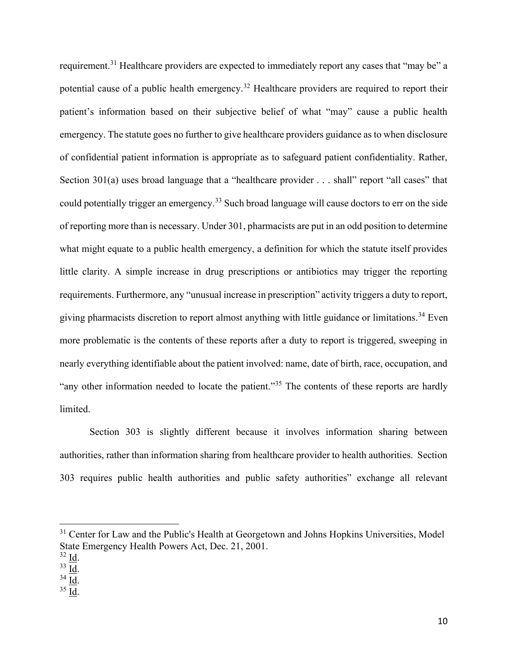requirement.<sup>31</sup> Healthcare providers are expected to immediately report any cases that "may be" a potential cause of a public health emergency.<sup>32</sup> Healthcare providers are required to report their patient's information based on their subjective belief of what "may" cause a public health emergency. The statute goes no further to give healthcare providers guidance as to when disclosure of confidential patient information is appropriate as to safeguard patient confidentiality. Rather, Section 301(a) uses broad language that a "healthcare provider . . . shall" report "all cases" that could potentially trigger an emergency.<sup>33</sup> Such broad language will cause doctors to err on the side of reporting more than is necessary. Under 301, pharmacists are put in an odd position to determine what might equate to a public health emergency, a definition for which the statute itself provides little clarity. A simple increase in drug prescriptions or antibiotics may trigger the reporting requirements. Furthermore, any "unusual increase in prescription" activity triggers a duty to report, giving pharmacists discretion to report almost anything with little guidance or limitations.<sup>34</sup> Even more problematic is the contents of these reports after a duty to report is triggered, sweeping in nearly everything identifiable about the patient involved: name, date of birth, race, occupation, and "any other information needed to locate the patient."<sup>35</sup> The contents of these reports are hardly limited.

Section 303 is slightly different because it involves information sharing between authorities, rather than information sharing from healthcare provider to health authorities. Section 303 requires public health authorities and public safety authorities" exchange all relevant

<sup>35</sup> Id.

<sup>&</sup>lt;sup>31</sup> Center for Law and the Public's Health at Georgetown and Johns Hopkins Universities, Model State Emergency Health Powers Act, Dec. 21, 2001.

 $32 \underline{\text{Id}}$ .

<sup>33</sup> Id.

<sup>34</sup> Id.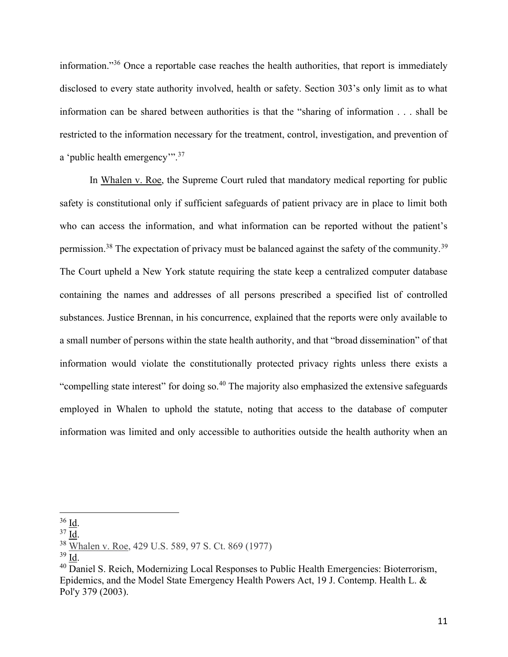information."<sup>36</sup> Once a reportable case reaches the health authorities, that report is immediately disclosed to every state authority involved, health or safety. Section 303's only limit as to what information can be shared between authorities is that the "sharing of information . . . shall be restricted to the information necessary for the treatment, control, investigation, and prevention of a 'public health emergency'".<sup>37</sup>

In Whalen v. Roe, the Supreme Court ruled that mandatory medical reporting for public safety is constitutional only if sufficient safeguards of patient privacy are in place to limit both who can access the information, and what information can be reported without the patient's permission.<sup>38</sup> The expectation of privacy must be balanced against the safety of the community.<sup>39</sup> The Court upheld a New York statute requiring the state keep a centralized computer database containing the names and addresses of all persons prescribed a specified list of controlled substances. Justice Brennan, in his concurrence, explained that the reports were only available to a small number of persons within the state health authority, and that "broad dissemination" of that information would violate the constitutionally protected privacy rights unless there exists a "compelling state interest" for doing so.<sup>40</sup> The majority also emphasized the extensive safeguards employed in Whalen to uphold the statute, noting that access to the database of computer information was limited and only accessible to authorities outside the health authority when an

 $36$   $\underline{\text{Id}}$ .

<sup>37</sup> Id.

<sup>38</sup> Whalen v. Roe, 429 U.S. 589, 97 S. Ct. 869 (1977)

 $39$  Id.

<sup>&</sup>lt;sup>40</sup> Daniel S. Reich, Modernizing Local Responses to Public Health Emergencies: Bioterrorism, Epidemics, and the Model State Emergency Health Powers Act, 19 J. Contemp. Health L. & Pol'y 379 (2003).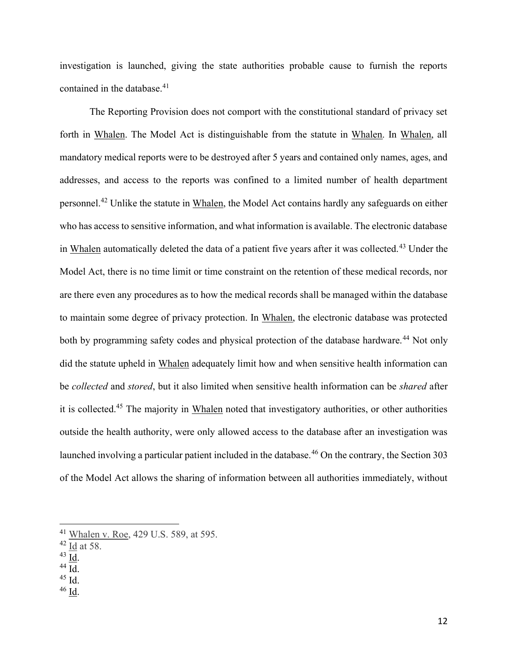investigation is launched, giving the state authorities probable cause to furnish the reports contained in the database.<sup>41</sup>

The Reporting Provision does not comport with the constitutional standard of privacy set forth in Whalen. The Model Act is distinguishable from the statute in Whalen. In Whalen, all mandatory medical reports were to be destroyed after 5 years and contained only names, ages, and addresses, and access to the reports was confined to a limited number of health department personnel.<sup>42</sup> Unlike the statute in Whalen, the Model Act contains hardly any safeguards on either who has access to sensitive information, and what information is available. The electronic database in Whalen automatically deleted the data of a patient five years after it was collected.<sup>43</sup> Under the Model Act, there is no time limit or time constraint on the retention of these medical records, nor are there even any procedures as to how the medical records shall be managed within the database to maintain some degree of privacy protection. In Whalen, the electronic database was protected both by programming safety codes and physical protection of the database hardware.<sup>44</sup> Not only did the statute upheld in Whalen adequately limit how and when sensitive health information can be *collected* and *stored*, but it also limited when sensitive health information can be *shared* after it is collected.<sup>45</sup> The majority in Whalen noted that investigatory authorities, or other authorities outside the health authority, were only allowed access to the database after an investigation was launched involving a particular patient included in the database.<sup>46</sup> On the contrary, the Section 303 of the Model Act allows the sharing of information between all authorities immediately, without

 $43$  Id.

<sup>46</sup> Id.

<sup>41</sup> Whalen v. Roe, 429 U.S. 589, at 595.

 $42$  Id at 58.

<sup>44</sup> Id.

 $45$  Id.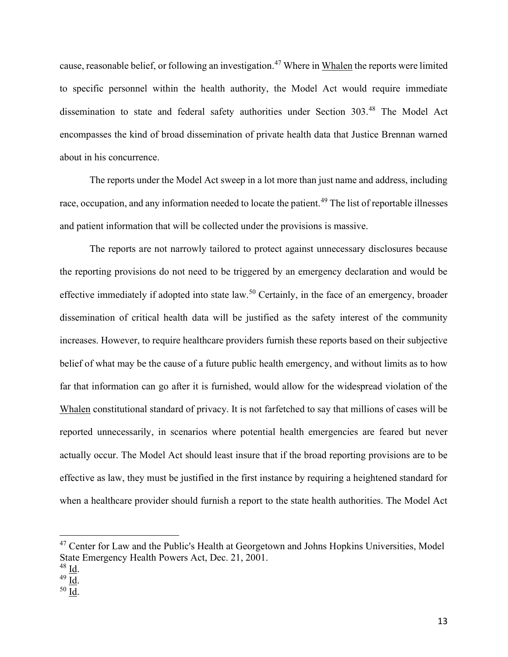cause, reasonable belief, or following an investigation.<sup>47</sup> Where in Whalen the reports were limited to specific personnel within the health authority, the Model Act would require immediate dissemination to state and federal safety authorities under Section 303.<sup>48</sup> The Model Act encompasses the kind of broad dissemination of private health data that Justice Brennan warned about in his concurrence.

The reports under the Model Act sweep in a lot more than just name and address, including race, occupation, and any information needed to locate the patient.<sup>49</sup> The list of reportable illnesses and patient information that will be collected under the provisions is massive.

The reports are not narrowly tailored to protect against unnecessary disclosures because the reporting provisions do not need to be triggered by an emergency declaration and would be effective immediately if adopted into state law.<sup>50</sup> Certainly, in the face of an emergency, broader dissemination of critical health data will be justified as the safety interest of the community increases. However, to require healthcare providers furnish these reports based on their subjective belief of what may be the cause of a future public health emergency, and without limits as to how far that information can go after it is furnished, would allow for the widespread violation of the Whalen constitutional standard of privacy. It is not farfetched to say that millions of cases will be reported unnecessarily, in scenarios where potential health emergencies are feared but never actually occur. The Model Act should least insure that if the broad reporting provisions are to be effective as law, they must be justified in the first instance by requiring a heightened standard for when a healthcare provider should furnish a report to the state health authorities. The Model Act

<sup>&</sup>lt;sup>47</sup> Center for Law and the Public's Health at Georgetown and Johns Hopkins Universities, Model State Emergency Health Powers Act, Dec. 21, 2001.

 $48 \underline{\mathsf{Id}}$ .

<sup>49</sup> Id.

<sup>50</sup> Id.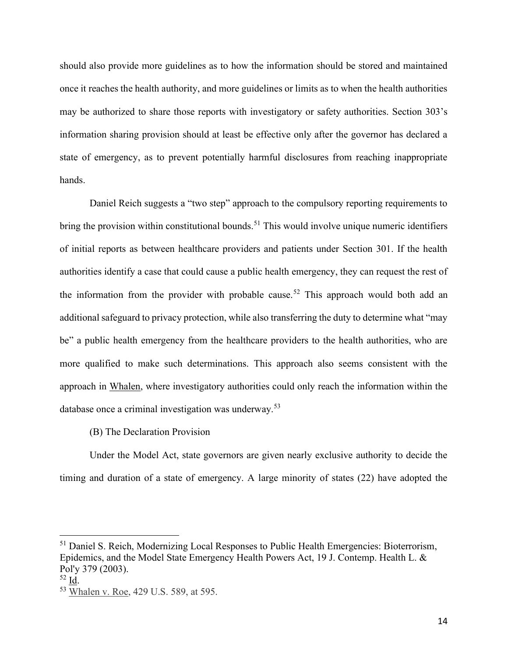should also provide more guidelines as to how the information should be stored and maintained once it reaches the health authority, and more guidelines or limits as to when the health authorities may be authorized to share those reports with investigatory or safety authorities. Section 303's information sharing provision should at least be effective only after the governor has declared a state of emergency, as to prevent potentially harmful disclosures from reaching inappropriate hands.

Daniel Reich suggests a "two step" approach to the compulsory reporting requirements to bring the provision within constitutional bounds.<sup>51</sup> This would involve unique numeric identifiers of initial reports as between healthcare providers and patients under Section 301. If the health authorities identify a case that could cause a public health emergency, they can request the rest of the information from the provider with probable cause.<sup>52</sup> This approach would both add an additional safeguard to privacy protection, while also transferring the duty to determine what "may be" a public health emergency from the healthcare providers to the health authorities, who are more qualified to make such determinations. This approach also seems consistent with the approach in Whalen, where investigatory authorities could only reach the information within the database once a criminal investigation was underway.<sup>53</sup>

## (B) The Declaration Provision

Under the Model Act, state governors are given nearly exclusive authority to decide the timing and duration of a state of emergency. A large minority of states (22) have adopted the

<sup>&</sup>lt;sup>51</sup> Daniel S. Reich, Modernizing Local Responses to Public Health Emergencies: Bioterrorism, Epidemics, and the Model State Emergency Health Powers Act, 19 J. Contemp. Health L. & Pol'y 379 (2003).

<sup>52</sup> Id.

<sup>53</sup> Whalen v. Roe, 429 U.S. 589, at 595.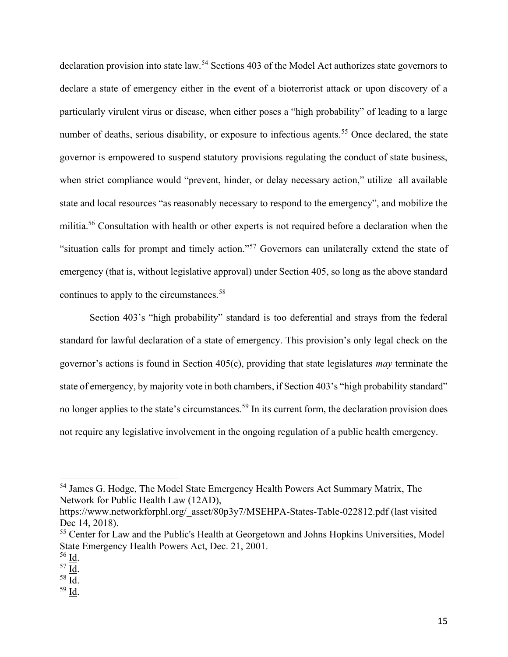declaration provision into state law.<sup>54</sup> Sections 403 of the Model Act authorizes state governors to declare a state of emergency either in the event of a bioterrorist attack or upon discovery of a particularly virulent virus or disease, when either poses a "high probability" of leading to a large number of deaths, serious disability, or exposure to infectious agents.<sup>55</sup> Once declared, the state governor is empowered to suspend statutory provisions regulating the conduct of state business, when strict compliance would "prevent, hinder, or delay necessary action," utilize all available state and local resources "as reasonably necessary to respond to the emergency", and mobilize the militia.<sup>56</sup> Consultation with health or other experts is not required before a declaration when the "situation calls for prompt and timely action."<sup>57</sup> Governors can unilaterally extend the state of emergency (that is, without legislative approval) under Section 405, so long as the above standard continues to apply to the circumstances.<sup>58</sup>

 Section 403's "high probability" standard is too deferential and strays from the federal standard for lawful declaration of a state of emergency. This provision's only legal check on the governor's actions is found in Section  $405(c)$ , providing that state legislatures *may* terminate the state of emergency, by majority vote in both chambers, if Section 403's "high probability standard" no longer applies to the state's circumstances.<sup>59</sup> In its current form, the declaration provision does not require any legislative involvement in the ongoing regulation of a public health emergency.

<sup>54</sup> James G. Hodge, The Model State Emergency Health Powers Act Summary Matrix, The Network for Public Health Law (12AD),

https://www.networkforphl.org/\_asset/80p3y7/MSEHPA-States-Table-022812.pdf (last visited Dec 14, 2018).

<sup>&</sup>lt;sup>55</sup> Center for Law and the Public's Health at Georgetown and Johns Hopkins Universities, Model State Emergency Health Powers Act, Dec. 21, 2001.

<sup>56</sup> Id.

 $57 \underline{\text{Id}}$ .

<sup>58</sup> Id.

<sup>59</sup> Id.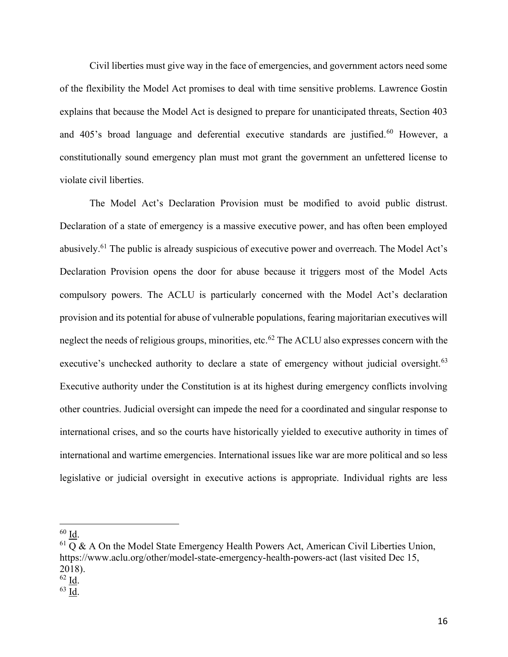Civil liberties must give way in the face of emergencies, and government actors need some of the flexibility the Model Act promises to deal with time sensitive problems. Lawrence Gostin explains that because the Model Act is designed to prepare for unanticipated threats, Section 403 and 405's broad language and deferential executive standards are justified.<sup>60</sup> However, a constitutionally sound emergency plan must mot grant the government an unfettered license to violate civil liberties.

The Model Act's Declaration Provision must be modified to avoid public distrust. Declaration of a state of emergency is a massive executive power, and has often been employed abusively.<sup>61</sup> The public is already suspicious of executive power and overreach. The Model Act's Declaration Provision opens the door for abuse because it triggers most of the Model Acts compulsory powers. The ACLU is particularly concerned with the Model Act's declaration provision and its potential for abuse of vulnerable populations, fearing majoritarian executives will neglect the needs of religious groups, minorities, etc.<sup>62</sup> The ACLU also expresses concern with the executive's unchecked authority to declare a state of emergency without judicial oversight.<sup>63</sup> Executive authority under the Constitution is at its highest during emergency conflicts involving other countries. Judicial oversight can impede the need for a coordinated and singular response to international crises, and so the courts have historically yielded to executive authority in times of international and wartime emergencies. International issues like war are more political and so less legislative or judicial oversight in executive actions is appropriate. Individual rights are less

<sup>60</sup> Id.

 $61$  Q & A On the Model State Emergency Health Powers Act, American Civil Liberties Union, https://www.aclu.org/other/model-state-emergency-health-powers-act (last visited Dec 15, 2018).

<sup>62</sup> Id.

<sup>63</sup> Id.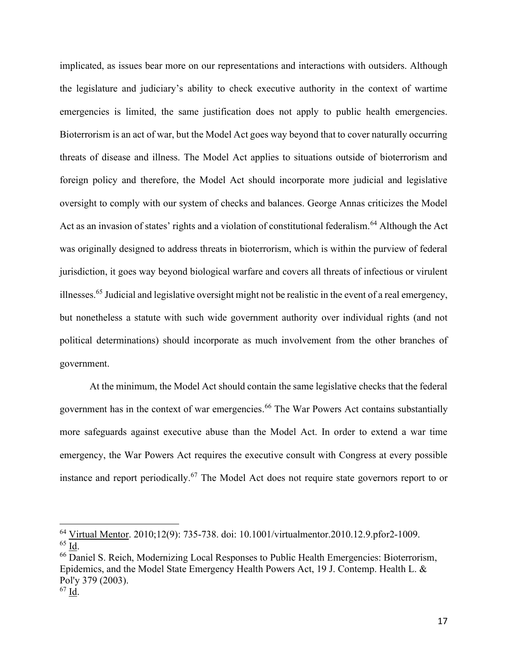implicated, as issues bear more on our representations and interactions with outsiders. Although the legislature and judiciary's ability to check executive authority in the context of wartime emergencies is limited, the same justification does not apply to public health emergencies. Bioterrorism is an act of war, but the Model Act goes way beyond that to cover naturally occurring threats of disease and illness. The Model Act applies to situations outside of bioterrorism and foreign policy and therefore, the Model Act should incorporate more judicial and legislative oversight to comply with our system of checks and balances. George Annas criticizes the Model Act as an invasion of states' rights and a violation of constitutional federalism.<sup>64</sup> Although the Act was originally designed to address threats in bioterrorism, which is within the purview of federal jurisdiction, it goes way beyond biological warfare and covers all threats of infectious or virulent illnesses.<sup>65</sup> Judicial and legislative oversight might not be realistic in the event of a real emergency, but nonetheless a statute with such wide government authority over individual rights (and not political determinations) should incorporate as much involvement from the other branches of government.

At the minimum, the Model Act should contain the same legislative checks that the federal government has in the context of war emergencies.<sup>66</sup> The War Powers Act contains substantially more safeguards against executive abuse than the Model Act. In order to extend a war time emergency, the War Powers Act requires the executive consult with Congress at every possible instance and report periodically.<sup>67</sup> The Model Act does not require state governors report to or

<sup>64</sup> Virtual Mentor. 2010;12(9): 735-738. doi: 10.1001/virtualmentor.2010.12.9.pfor2-1009. <sup>65</sup> Id.

<sup>66</sup> Daniel S. Reich, Modernizing Local Responses to Public Health Emergencies: Bioterrorism, Epidemics, and the Model State Emergency Health Powers Act, 19 J. Contemp. Health L. & Pol'y 379 (2003).

<sup>67</sup> Id.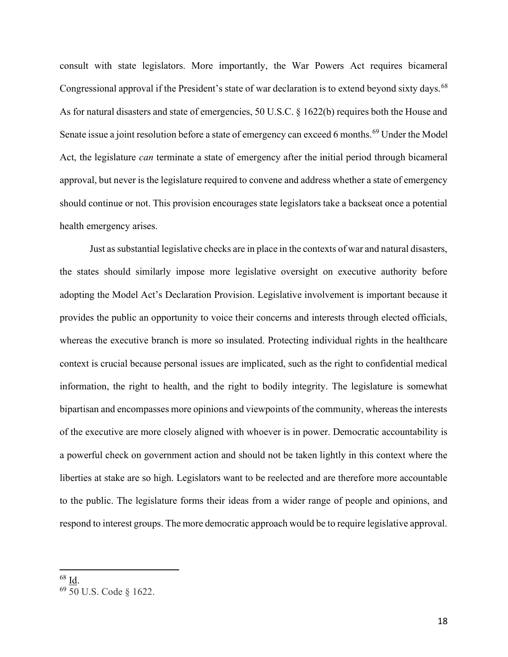consult with state legislators. More importantly, the War Powers Act requires bicameral Congressional approval if the President's state of war declaration is to extend beyond sixty days.<sup>68</sup> As for natural disasters and state of emergencies, 50 U.S.C. § 1622(b) requires both the House and Senate issue a joint resolution before a state of emergency can exceed 6 months.<sup>69</sup> Under the Model Act, the legislature *can* terminate a state of emergency after the initial period through bicameral approval, but never is the legislature required to convene and address whether a state of emergency should continue or not. This provision encourages state legislators take a backseat once a potential health emergency arises.

Just as substantial legislative checks are in place in the contexts of war and natural disasters, the states should similarly impose more legislative oversight on executive authority before adopting the Model Act's Declaration Provision. Legislative involvement is important because it provides the public an opportunity to voice their concerns and interests through elected officials, whereas the executive branch is more so insulated. Protecting individual rights in the healthcare context is crucial because personal issues are implicated, such as the right to confidential medical information, the right to health, and the right to bodily integrity. The legislature is somewhat bipartisan and encompasses more opinions and viewpoints of the community, whereas the interests of the executive are more closely aligned with whoever is in power. Democratic accountability is a powerful check on government action and should not be taken lightly in this context where the liberties at stake are so high. Legislators want to be reelected and are therefore more accountable to the public. The legislature forms their ideas from a wider range of people and opinions, and respond to interest groups. The more democratic approach would be to require legislative approval.

 $68$  <u>Id</u>.

<sup>69</sup> 50 U.S. Code § 1622.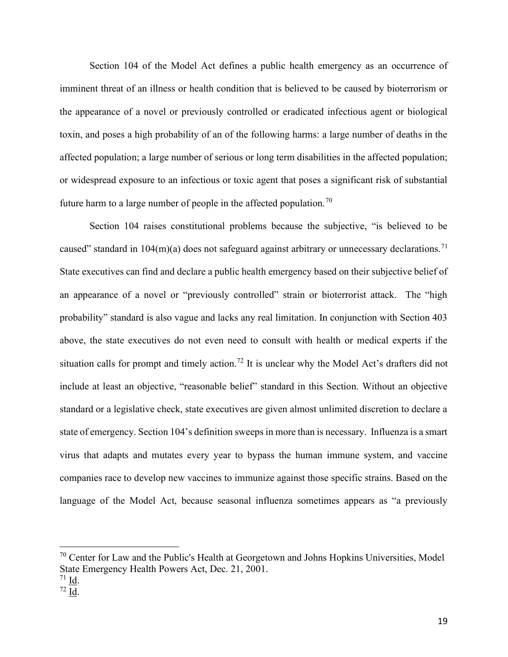Section 104 of the Model Act defines a public health emergency as an occurrence of imminent threat of an illness or health condition that is believed to be caused by bioterrorism or the appearance of a novel or previously controlled or eradicated infectious agent or biological toxin, and poses a high probability of an of the following harms: a large number of deaths in the affected population; a large number of serious or long term disabilities in the affected population; or widespread exposure to an infectious or toxic agent that poses a significant risk of substantial future harm to a large number of people in the affected population.<sup>70</sup>

Section 104 raises constitutional problems because the subjective, "is believed to be caused" standard in  $104(m)(a)$  does not safeguard against arbitrary or unnecessary declarations.<sup>71</sup> State executives can find and declare a public health emergency based on their subjective belief of an appearance of a novel or "previously controlled" strain or bioterrorist attack. The "high probability" standard is also vague and lacks any real limitation. In conjunction with Section 403 above, the state executives do not even need to consult with health or medical experts if the situation calls for prompt and timely action.<sup>72</sup> It is unclear why the Model Act's drafters did not include at least an objective, "reasonable belief" standard in this Section. Without an objective standard or a legislative check, state executives are given almost unlimited discretion to declare a state of emergency. Section 104's definition sweeps in more than is necessary. Influenza is a smart virus that adapts and mutates every year to bypass the human immune system, and vaccine companies race to develop new vaccines to immunize against those specific strains. Based on the language of the Model Act, because seasonal influenza sometimes appears as "a previously

<sup>&</sup>lt;sup>70</sup> Center for Law and the Public's Health at Georgetown and Johns Hopkins Universities, Model State Emergency Health Powers Act, Dec. 21, 2001.

 $71 \underline{Id}$ .

 $72 \overline{Id}$ .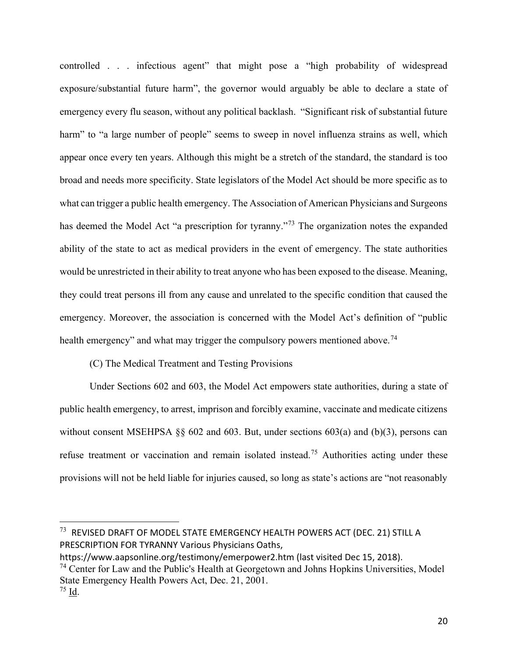controlled . . . infectious agent" that might pose a "high probability of widespread exposure/substantial future harm", the governor would arguably be able to declare a state of emergency every flu season, without any political backlash. "Significant risk of substantial future harm" to "a large number of people" seems to sweep in novel influenza strains as well, which appear once every ten years. Although this might be a stretch of the standard, the standard is too broad and needs more specificity. State legislators of the Model Act should be more specific as to what can trigger a public health emergency. The Association of American Physicians and Surgeons has deemed the Model Act "a prescription for tyranny."<sup>73</sup> The organization notes the expanded ability of the state to act as medical providers in the event of emergency. The state authorities would be unrestricted in their ability to treat anyone who has been exposed to the disease. Meaning, they could treat persons ill from any cause and unrelated to the specific condition that caused the emergency. Moreover, the association is concerned with the Model Act's definition of "public health emergency" and what may trigger the compulsory powers mentioned above.<sup>74</sup>

## (C) The Medical Treatment and Testing Provisions

Under Sections 602 and 603, the Model Act empowers state authorities, during a state of public health emergency, to arrest, imprison and forcibly examine, vaccinate and medicate citizens without consent MSEHPSA §§ 602 and 603. But, under sections 603(a) and (b)(3), persons can refuse treatment or vaccination and remain isolated instead.<sup>75</sup> Authorities acting under these provisions will not be held liable for injuries caused, so long as state's actions are "not reasonably

 $^{73}\,$  REVISED DRAFT OF MODEL STATE EMERGENCY HEALTH POWERS ACT (DEC. 21) STILL A PRESCRIPTION FOR TYRANNY Various Physicians Oaths,

https://www.aapsonline.org/testimony/emerpower2.htm (last visited Dec 15, 2018).

 $74$  Center for Law and the Public's Health at Georgetown and Johns Hopkins Universities, Model State Emergency Health Powers Act, Dec. 21, 2001.

<sup>75</sup> Id.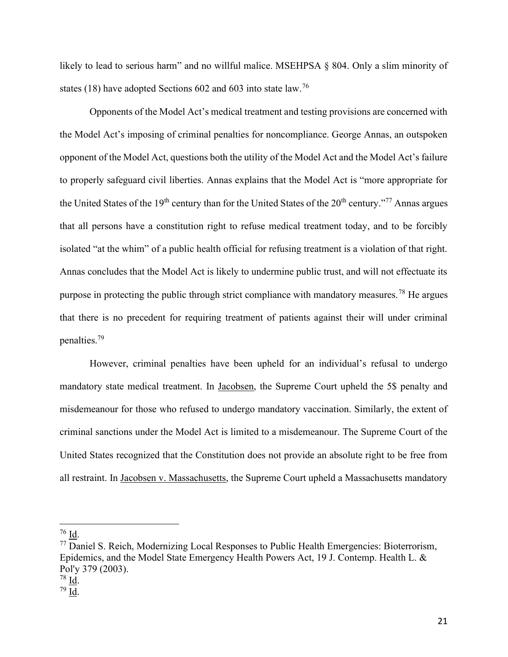likely to lead to serious harm" and no willful malice. MSEHPSA § 804. Only a slim minority of states (18) have adopted Sections 602 and 603 into state law.<sup>76</sup>

Opponents of the Model Act's medical treatment and testing provisions are concerned with the Model Act's imposing of criminal penalties for noncompliance. George Annas, an outspoken opponent of the Model Act, questions both the utility of the Model Act and the Model Act's failure to properly safeguard civil liberties. Annas explains that the Model Act is "more appropriate for the United States of the 19<sup>th</sup> century than for the United States of the 20<sup>th</sup> century."<sup>77</sup> Annas argues that all persons have a constitution right to refuse medical treatment today, and to be forcibly isolated "at the whim" of a public health official for refusing treatment is a violation of that right. Annas concludes that the Model Act is likely to undermine public trust, and will not effectuate its purpose in protecting the public through strict compliance with mandatory measures.<sup>78</sup> He argues that there is no precedent for requiring treatment of patients against their will under criminal penalties.<sup>79</sup>

However, criminal penalties have been upheld for an individual's refusal to undergo mandatory state medical treatment. In Jacobsen, the Supreme Court upheld the 5\$ penalty and misdemeanour for those who refused to undergo mandatory vaccination. Similarly, the extent of criminal sanctions under the Model Act is limited to a misdemeanour. The Supreme Court of the United States recognized that the Constitution does not provide an absolute right to be free from all restraint. In Jacobsen v. Massachusetts, the Supreme Court upheld a Massachusetts mandatory

<sup>76</sup> Id.

<sup>77</sup> Daniel S. Reich, Modernizing Local Responses to Public Health Emergencies: Bioterrorism, Epidemics, and the Model State Emergency Health Powers Act, 19 J. Contemp. Health L. & Pol'y 379 (2003).

<sup>78</sup> Id.

<sup>79</sup> Id.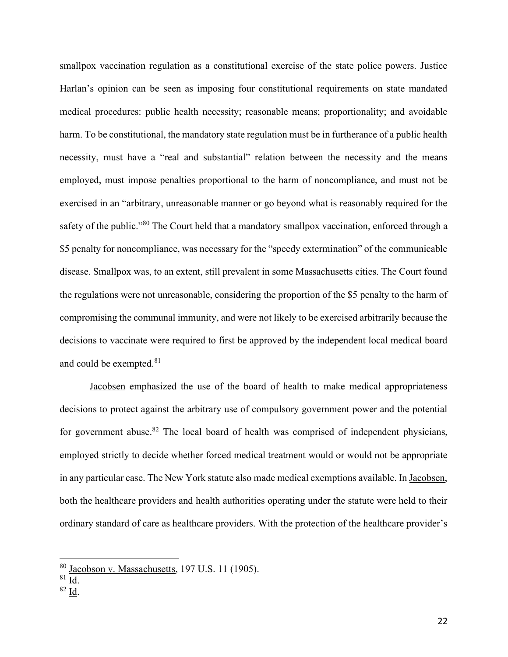smallpox vaccination regulation as a constitutional exercise of the state police powers. Justice Harlan's opinion can be seen as imposing four constitutional requirements on state mandated medical procedures: public health necessity; reasonable means; proportionality; and avoidable harm. To be constitutional, the mandatory state regulation must be in furtherance of a public health necessity, must have a "real and substantial" relation between the necessity and the means employed, must impose penalties proportional to the harm of noncompliance, and must not be exercised in an "arbitrary, unreasonable manner or go beyond what is reasonably required for the safety of the public."<sup>80</sup> The Court held that a mandatory smallpox vaccination, enforced through a \$5 penalty for noncompliance, was necessary for the "speedy extermination" of the communicable disease. Smallpox was, to an extent, still prevalent in some Massachusetts cities. The Court found the regulations were not unreasonable, considering the proportion of the \$5 penalty to the harm of compromising the communal immunity, and were not likely to be exercised arbitrarily because the decisions to vaccinate were required to first be approved by the independent local medical board and could be exempted. $^{81}$ 

Jacobsen emphasized the use of the board of health to make medical appropriateness decisions to protect against the arbitrary use of compulsory government power and the potential for government abuse. $82$  The local board of health was comprised of independent physicians, employed strictly to decide whether forced medical treatment would or would not be appropriate in any particular case. The New York statute also made medical exemptions available. In Jacobsen, both the healthcare providers and health authorities operating under the statute were held to their ordinary standard of care as healthcare providers. With the protection of the healthcare provider's

<sup>82</sup> Id.

<sup>80</sup> Jacobson v. Massachusetts, 197 U.S. 11 (1905).

<sup>81</sup> Id.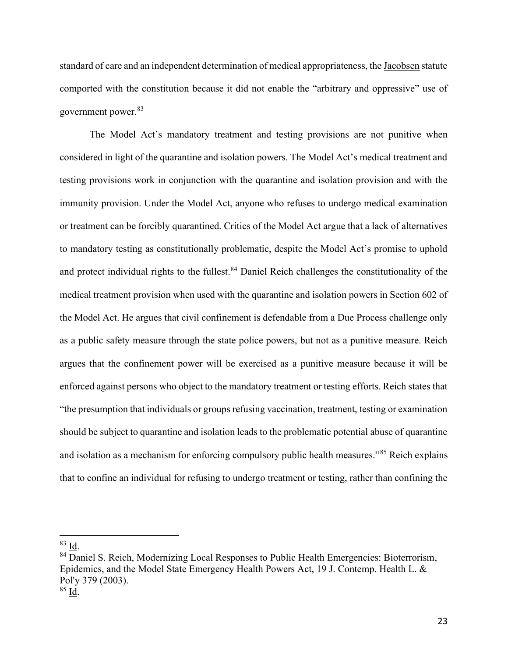standard of care and an independent determination of medical appropriateness, the Jacobsen statute comported with the constitution because it did not enable the "arbitrary and oppressive" use of government power.<sup>83</sup>

The Model Act's mandatory treatment and testing provisions are not punitive when considered in light of the quarantine and isolation powers. The Model Act's medical treatment and testing provisions work in conjunction with the quarantine and isolation provision and with the immunity provision. Under the Model Act, anyone who refuses to undergo medical examination or treatment can be forcibly quarantined. Critics of the Model Act argue that a lack of alternatives to mandatory testing as constitutionally problematic, despite the Model Act's promise to uphold and protect individual rights to the fullest.<sup>84</sup> Daniel Reich challenges the constitutionality of the medical treatment provision when used with the quarantine and isolation powers in Section 602 of the Model Act. He argues that civil confinement is defendable from a Due Process challenge only as a public safety measure through the state police powers, but not as a punitive measure. Reich argues that the confinement power will be exercised as a punitive measure because it will be enforced against persons who object to the mandatory treatment or testing efforts. Reich states that "the presumption that individuals or groups refusing vaccination, treatment, testing or examination should be subject to quarantine and isolation leads to the problematic potential abuse of quarantine and isolation as a mechanism for enforcing compulsory public health measures."<sup>85</sup> Reich explains that to confine an individual for refusing to undergo treatment or testing, rather than confining the

<sup>83</sup> Id.

<sup>&</sup>lt;sup>84</sup> Daniel S. Reich, Modernizing Local Responses to Public Health Emergencies: Bioterrorism, Epidemics, and the Model State Emergency Health Powers Act, 19 J. Contemp. Health L. & Pol'y 379 (2003).

<sup>85</sup> Id.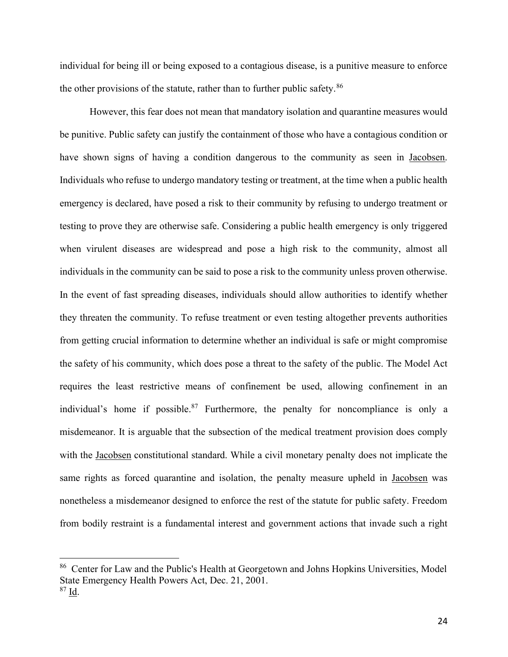individual for being ill or being exposed to a contagious disease, is a punitive measure to enforce the other provisions of the statute, rather than to further public safety.<sup>86</sup>

However, this fear does not mean that mandatory isolation and quarantine measures would be punitive. Public safety can justify the containment of those who have a contagious condition or have shown signs of having a condition dangerous to the community as seen in Jacobsen. Individuals who refuse to undergo mandatory testing or treatment, at the time when a public health emergency is declared, have posed a risk to their community by refusing to undergo treatment or testing to prove they are otherwise safe. Considering a public health emergency is only triggered when virulent diseases are widespread and pose a high risk to the community, almost all individuals in the community can be said to pose a risk to the community unless proven otherwise. In the event of fast spreading diseases, individuals should allow authorities to identify whether they threaten the community. To refuse treatment or even testing altogether prevents authorities from getting crucial information to determine whether an individual is safe or might compromise the safety of his community, which does pose a threat to the safety of the public. The Model Act requires the least restrictive means of confinement be used, allowing confinement in an individual's home if possible.<sup>87</sup> Furthermore, the penalty for noncompliance is only a misdemeanor. It is arguable that the subsection of the medical treatment provision does comply with the Jacobsen constitutional standard. While a civil monetary penalty does not implicate the same rights as forced quarantine and isolation, the penalty measure upheld in Jacobsen was nonetheless a misdemeanor designed to enforce the rest of the statute for public safety. Freedom from bodily restraint is a fundamental interest and government actions that invade such a right

<sup>86</sup> Center for Law and the Public's Health at Georgetown and Johns Hopkins Universities, Model State Emergency Health Powers Act, Dec. 21, 2001.

<sup>87</sup> Id.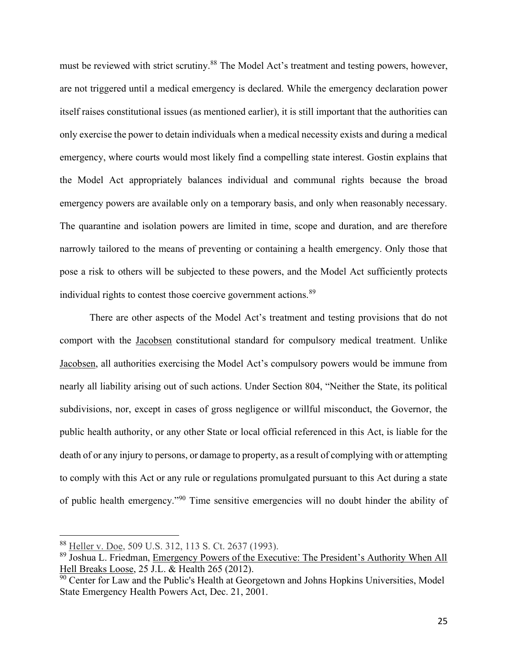must be reviewed with strict scrutiny.<sup>88</sup> The Model Act's treatment and testing powers, however, are not triggered until a medical emergency is declared. While the emergency declaration power itself raises constitutional issues (as mentioned earlier), it is still important that the authorities can only exercise the power to detain individuals when a medical necessity exists and during a medical emergency, where courts would most likely find a compelling state interest. Gostin explains that the Model Act appropriately balances individual and communal rights because the broad emergency powers are available only on a temporary basis, and only when reasonably necessary. The quarantine and isolation powers are limited in time, scope and duration, and are therefore narrowly tailored to the means of preventing or containing a health emergency. Only those that pose a risk to others will be subjected to these powers, and the Model Act sufficiently protects individual rights to contest those coercive government actions.<sup>89</sup>

There are other aspects of the Model Act's treatment and testing provisions that do not comport with the Jacobsen constitutional standard for compulsory medical treatment. Unlike Jacobsen, all authorities exercising the Model Act's compulsory powers would be immune from nearly all liability arising out of such actions. Under Section 804, "Neither the State, its political subdivisions, nor, except in cases of gross negligence or willful misconduct, the Governor, the public health authority, or any other State or local official referenced in this Act, is liable for the death of or any injury to persons, or damage to property, as a result of complying with or attempting to comply with this Act or any rule or regulations promulgated pursuant to this Act during a state of public health emergency."<sup>90</sup> Time sensitive emergencies will no doubt hinder the ability of

<sup>88</sup> Heller v. Doe, 509 U.S. 312, 113 S. Ct. 2637 (1993).

<sup>89</sup> Joshua L. Friedman, Emergency Powers of the Executive: The President's Authority When All Hell Breaks Loose, 25 J.L. & Health 265 (2012).

 $\frac{90}{90}$  Center for Law and the Public's Health at Georgetown and Johns Hopkins Universities, Model State Emergency Health Powers Act, Dec. 21, 2001.